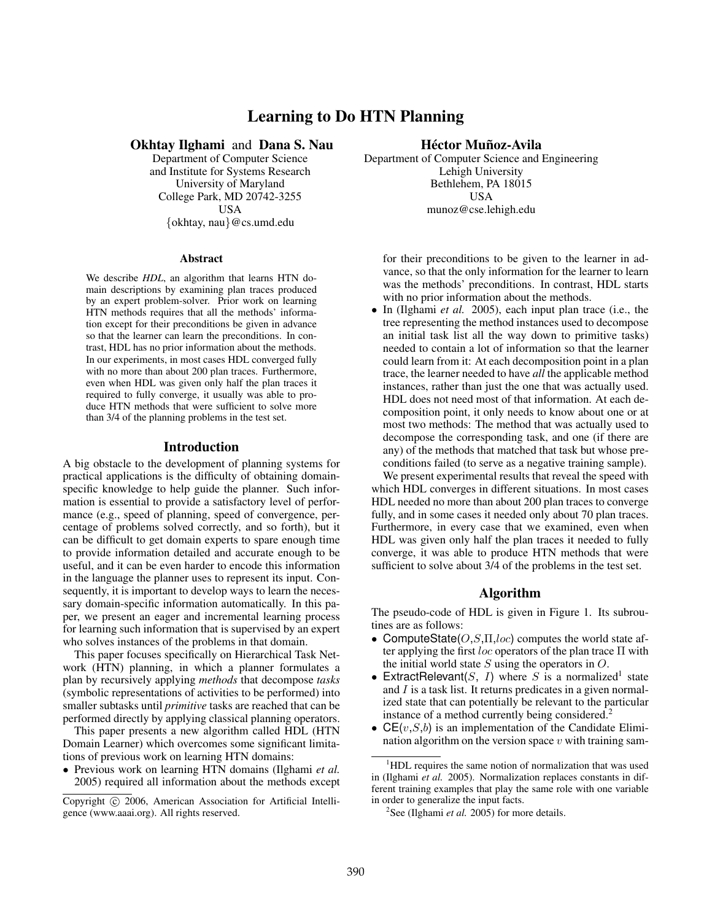# Learning to Do HTN Planning

Okhtay Ilghami and Dana S. Nau

Department of Computer Science and Institute for Systems Research University of Maryland College Park, MD 20742-3255 USA {okhtay, nau}@cs.umd.edu

Abstract

We describe *HDL*, an algorithm that learns HTN domain descriptions by examining plan traces produced by an expert problem-solver. Prior work on learning HTN methods requires that all the methods' information except for their preconditions be given in advance so that the learner can learn the preconditions. In contrast, HDL has no prior information about the methods. In our experiments, in most cases HDL converged fully with no more than about 200 plan traces. Furthermore, even when HDL was given only half the plan traces it required to fully converge, it usually was able to produce HTN methods that were sufficient to solve more than 3/4 of the planning problems in the test set.

### Introduction

A big obstacle to the development of planning systems for practical applications is the difficulty of obtaining domainspecific knowledge to help guide the planner. Such information is essential to provide a satisfactory level of performance (e.g., speed of planning, speed of convergence, percentage of problems solved correctly, and so forth), but it can be difficult to get domain experts to spare enough time to provide information detailed and accurate enough to be useful, and it can be even harder to encode this information in the language the planner uses to represent its input. Consequently, it is important to develop ways to learn the necessary domain-specific information automatically. In this paper, we present an eager and incremental learning process for learning such information that is supervised by an expert who solves instances of the problems in that domain.

This paper focuses specifically on Hierarchical Task Network (HTN) planning, in which a planner formulates a plan by recursively applying *methods* that decompose *tasks* (symbolic representations of activities to be performed) into smaller subtasks until *primitive* tasks are reached that can be performed directly by applying classical planning operators.

This paper presents a new algorithm called HDL (HTN Domain Learner) which overcomes some significant limitations of previous work on learning HTN domains:

• Previous work on learning HTN domains (Ilghami *et al.* 2005) required all information about the methods except

### Héctor Muñoz-Avila

Department of Computer Science and Engineering Lehigh University Bethlehem, PA 18015 USA munoz@cse.lehigh.edu

for their preconditions to be given to the learner in advance, so that the only information for the learner to learn was the methods' preconditions. In contrast, HDL starts with no prior information about the methods.

• In (Ilghami *et al.* 2005), each input plan trace (i.e., the tree representing the method instances used to decompose an initial task list all the way down to primitive tasks) needed to contain a lot of information so that the learner could learn from it: At each decomposition point in a plan trace, the learner needed to have *all* the applicable method instances, rather than just the one that was actually used. HDL does not need most of that information. At each decomposition point, it only needs to know about one or at most two methods: The method that was actually used to decompose the corresponding task, and one (if there are any) of the methods that matched that task but whose preconditions failed (to serve as a negative training sample).

We present experimental results that reveal the speed with which HDL converges in different situations. In most cases HDL needed no more than about 200 plan traces to converge fully, and in some cases it needed only about 70 plan traces. Furthermore, in every case that we examined, even when HDL was given only half the plan traces it needed to fully converge, it was able to produce HTN methods that were sufficient to solve about 3/4 of the problems in the test set.

# Algorithm

The pseudo-code of HDL is given in Figure 1. Its subroutines are as follows:

- ComputeState $(O, S, \Pi, loc)$  computes the world state after applying the first loc operators of the plan trace  $\Pi$  with the initial world state  $S$  using the operators in  $O$ .
- ExtractRelevant(S, I) where S is a normalized<sup>1</sup> state and  $I$  is a task list. It returns predicates in a given normalized state that can potentially be relevant to the particular instance of a method currently being considered.<sup>2</sup>
- $CE(v, S, b)$  is an implementation of the Candidate Elimination algorithm on the version space  $v$  with training sam-

Copyright © 2006, American Association for Artificial Intelligence (www.aaai.org). All rights reserved.

<sup>&</sup>lt;sup>1</sup>HDL requires the same notion of normalization that was used in (Ilghami *et al.* 2005). Normalization replaces constants in different training examples that play the same role with one variable in order to generalize the input facts.

<sup>&</sup>lt;sup>2</sup>See (Ilghami *et al.* 2005) for more details.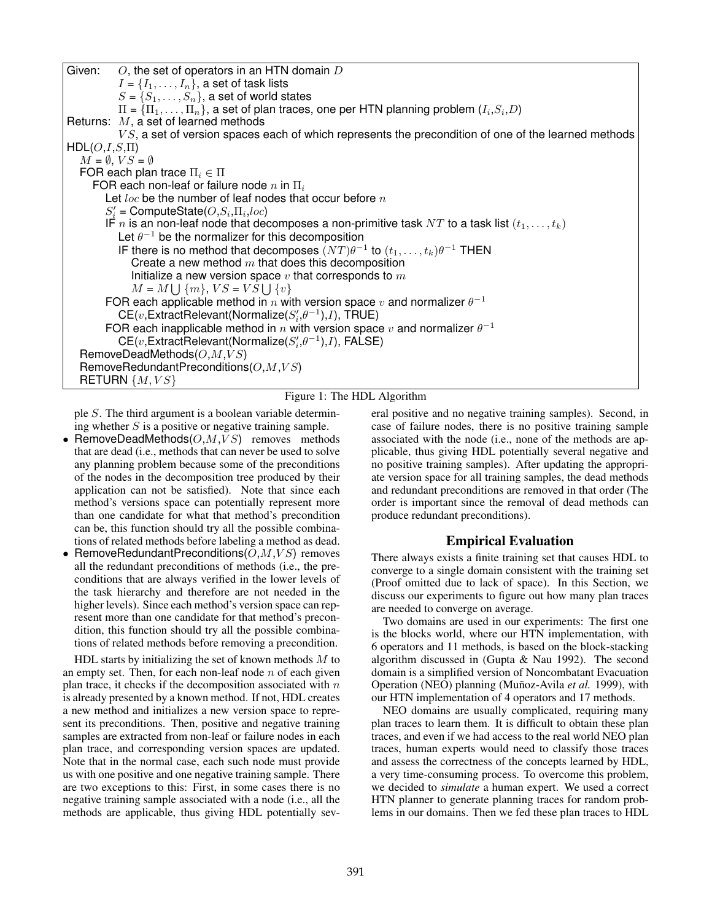

#### Figure 1: The HDL Algorithm

ple S. The third argument is a boolean variable determining whether  $S$  is a positive or negative training sample.

- RemoveDeadMethods $(O, M, VS)$  removes methods that are dead (i.e., methods that can never be used to solve any planning problem because some of the preconditions of the nodes in the decomposition tree produced by their application can not be satisfied). Note that since each method's versions space can potentially represent more than one candidate for what that method's precondition can be, this function should try all the possible combinations of related methods before labeling a method as dead.
- RemoveRedundantPreconditions  $(O, M, VS)$  removes all the redundant preconditions of methods (i.e., the preconditions that are always verified in the lower levels of the task hierarchy and therefore are not needed in the higher levels). Since each method's version space can represent more than one candidate for that method's precondition, this function should try all the possible combinations of related methods before removing a precondition.

HDL starts by initializing the set of known methods  $M$  to an empty set. Then, for each non-leaf node  $n$  of each given plan trace, it checks if the decomposition associated with  $n$ is already presented by a known method. If not, HDL creates a new method and initializes a new version space to represent its preconditions. Then, positive and negative training samples are extracted from non-leaf or failure nodes in each plan trace, and corresponding version spaces are updated. Note that in the normal case, each such node must provide us with one positive and one negative training sample. There are two exceptions to this: First, in some cases there is no negative training sample associated with a node (i.e., all the methods are applicable, thus giving HDL potentially several positive and no negative training samples). Second, in case of failure nodes, there is no positive training sample associated with the node (i.e., none of the methods are applicable, thus giving HDL potentially several negative and no positive training samples). After updating the appropriate version space for all training samples, the dead methods and redundant preconditions are removed in that order (The order is important since the removal of dead methods can produce redundant preconditions).

## Empirical Evaluation

There always exists a finite training set that causes HDL to converge to a single domain consistent with the training set (Proof omitted due to lack of space). In this Section, we discuss our experiments to figure out how many plan traces are needed to converge on average.

Two domains are used in our experiments: The first one is the blocks world, where our HTN implementation, with 6 operators and 11 methods, is based on the block-stacking algorithm discussed in (Gupta & Nau 1992). The second domain is a simplified version of Noncombatant Evacuation Operation (NEO) planning (Muñoz-Avila et al. 1999), with our HTN implementation of 4 operators and 17 methods.

NEO domains are usually complicated, requiring many plan traces to learn them. It is difficult to obtain these plan traces, and even if we had access to the real world NEO plan traces, human experts would need to classify those traces and assess the correctness of the concepts learned by HDL, a very time-consuming process. To overcome this problem, we decided to *simulate* a human expert. We used a correct HTN planner to generate planning traces for random problems in our domains. Then we fed these plan traces to HDL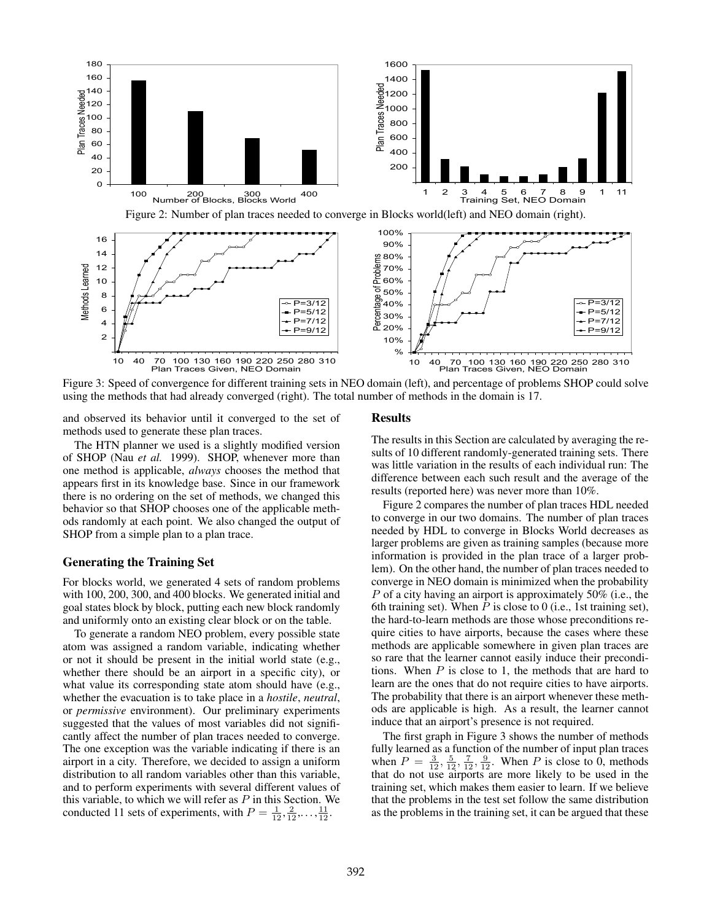

Figure 3: Speed of convergence for different training sets in NEO domain (left), and percentage of problems SHOP could solve using the methods that had already converged (right). The total number of methods in the domain is 17.

and observed its behavior until it converged to the set of methods used to generate these plan traces.

The HTN planner we used is a slightly modified version of SHOP (Nau *et al.* 1999). SHOP, whenever more than one method is applicable, *always* chooses the method that appears first in its knowledge base. Since in our framework there is no ordering on the set of methods, we changed this behavior so that SHOP chooses one of the applicable methods randomly at each point. We also changed the output of SHOP from a simple plan to a plan trace.

### Generating the Training Set

For blocks world, we generated 4 sets of random problems with 100, 200, 300, and 400 blocks. We generated initial and goal states block by block, putting each new block randomly and uniformly onto an existing clear block or on the table.

To generate a random NEO problem, every possible state atom was assigned a random variable, indicating whether or not it should be present in the initial world state (e.g., whether there should be an airport in a specific city), or what value its corresponding state atom should have (e.g., whether the evacuation is to take place in a *hostile*, *neutral*, or *permissive* environment). Our preliminary experiments suggested that the values of most variables did not significantly affect the number of plan traces needed to converge. The one exception was the variable indicating if there is an airport in a city. Therefore, we decided to assign a uniform distribution to all random variables other than this variable, and to perform experiments with several different values of this variable, to which we will refer as  $P$  in this Section. We conducted 11 sets of experiments, with  $P = \frac{1}{12}, \frac{2}{12}, \dots, \frac{11}{12}$ .

#### Results

The results in this Section are calculated by averaging the results of 10 different randomly-generated training sets. There was little variation in the results of each individual run: The difference between each such result and the average of the results (reported here) was never more than 10%.

Figure 2 compares the number of plan traces HDL needed to converge in our two domains. The number of plan traces needed by HDL to converge in Blocks World decreases as larger problems are given as training samples (because more information is provided in the plan trace of a larger problem). On the other hand, the number of plan traces needed to converge in NEO domain is minimized when the probability P of a city having an airport is approximately 50% (i.e., the 6th training set). When  $P$  is close to 0 (i.e., 1st training set), the hard-to-learn methods are those whose preconditions require cities to have airports, because the cases where these methods are applicable somewhere in given plan traces are so rare that the learner cannot easily induce their preconditions. When  $P$  is close to 1, the methods that are hard to learn are the ones that do not require cities to have airports. The probability that there is an airport whenever these methods are applicable is high. As a result, the learner cannot induce that an airport's presence is not required.

The first graph in Figure 3 shows the number of methods fully learned as a function of the number of input plan traces when  $P = \frac{3}{12}, \frac{5}{12}, \frac{7}{12}, \frac{9}{12}$ . When P is close to 0, methods that do not use airports are more likely to be used in the training set, which makes them easier to learn. If we believe that the problems in the test set follow the same distribution as the problems in the training set, it can be argued that these